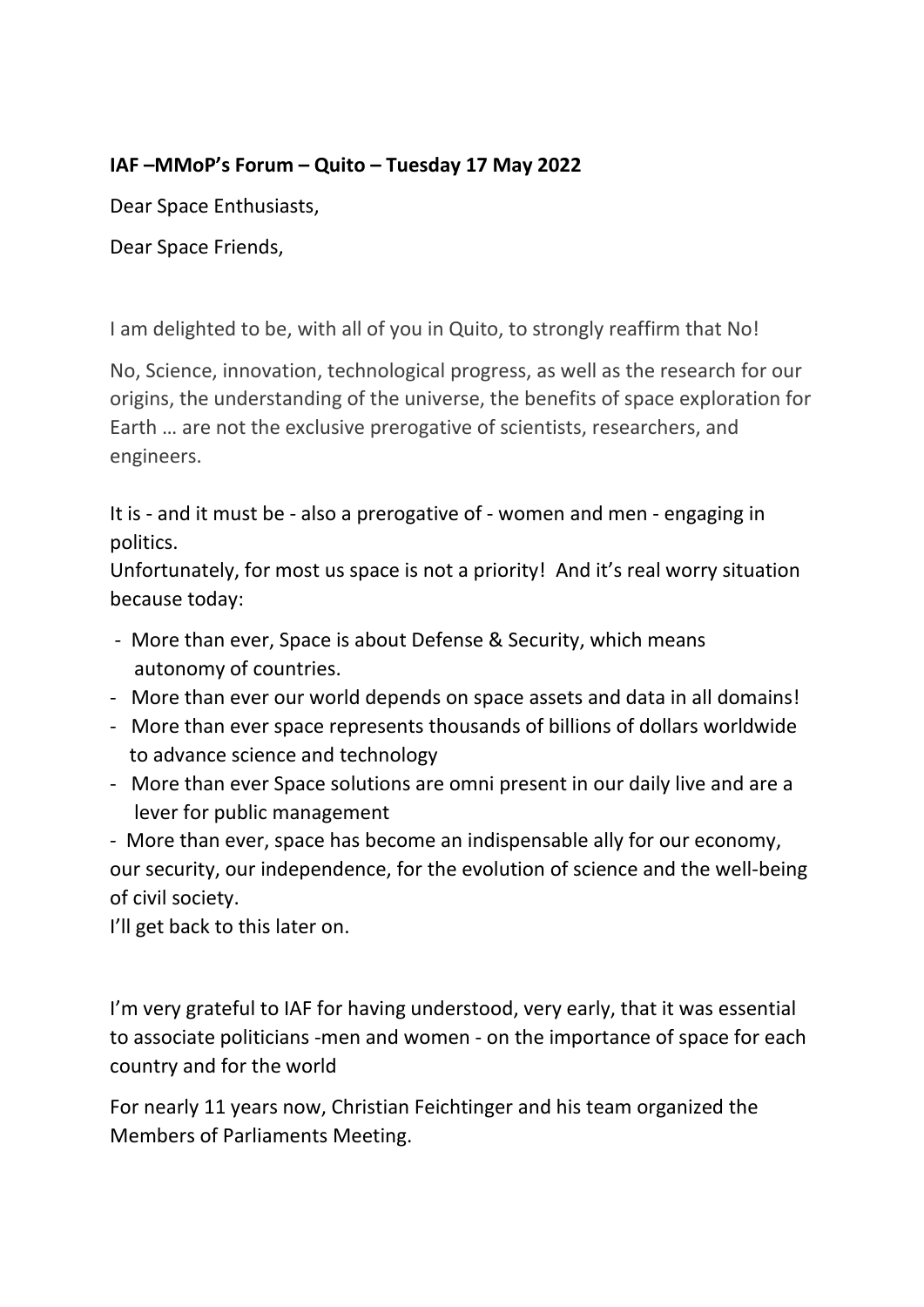## **IAF –MMoP's Forum – Quito – Tuesday 17 May 2022**

Dear Space Enthusiasts,

Dear Space Friends,

I am delighted to be, with all of you in Quito, to strongly reaffirm that No!

No, Science, innovation, technological progress, as well as the research for our origins, the understanding of the universe, the benefits of space exploration for Earth … are not the exclusive prerogative of scientists, researchers, and engineers.

It is - and it must be - also a prerogative of - women and men - engaging in politics.

Unfortunately, for most us space is not a priority! And it's real worry situation because today:

- More than ever, Space is about Defense & Security, which means autonomy of countries.
- More than ever our world depends on space assets and data in all domains!
- More than ever space represents thousands of billions of dollars worldwide to advance science and technology
- More than ever Space solutions are omni present in our daily live and are a lever for public management

- More than ever, space has become an indispensable ally for our economy, our security, our independence, for the evolution of science and the well-being of civil society.

I'll get back to this later on.

I'm very grateful to IAF for having understood, very early, that it was essential to associate politicians -men and women - on the importance of space for each country and for the world

For nearly 11 years now, Christian Feichtinger and his team organized the Members of Parliaments Meeting.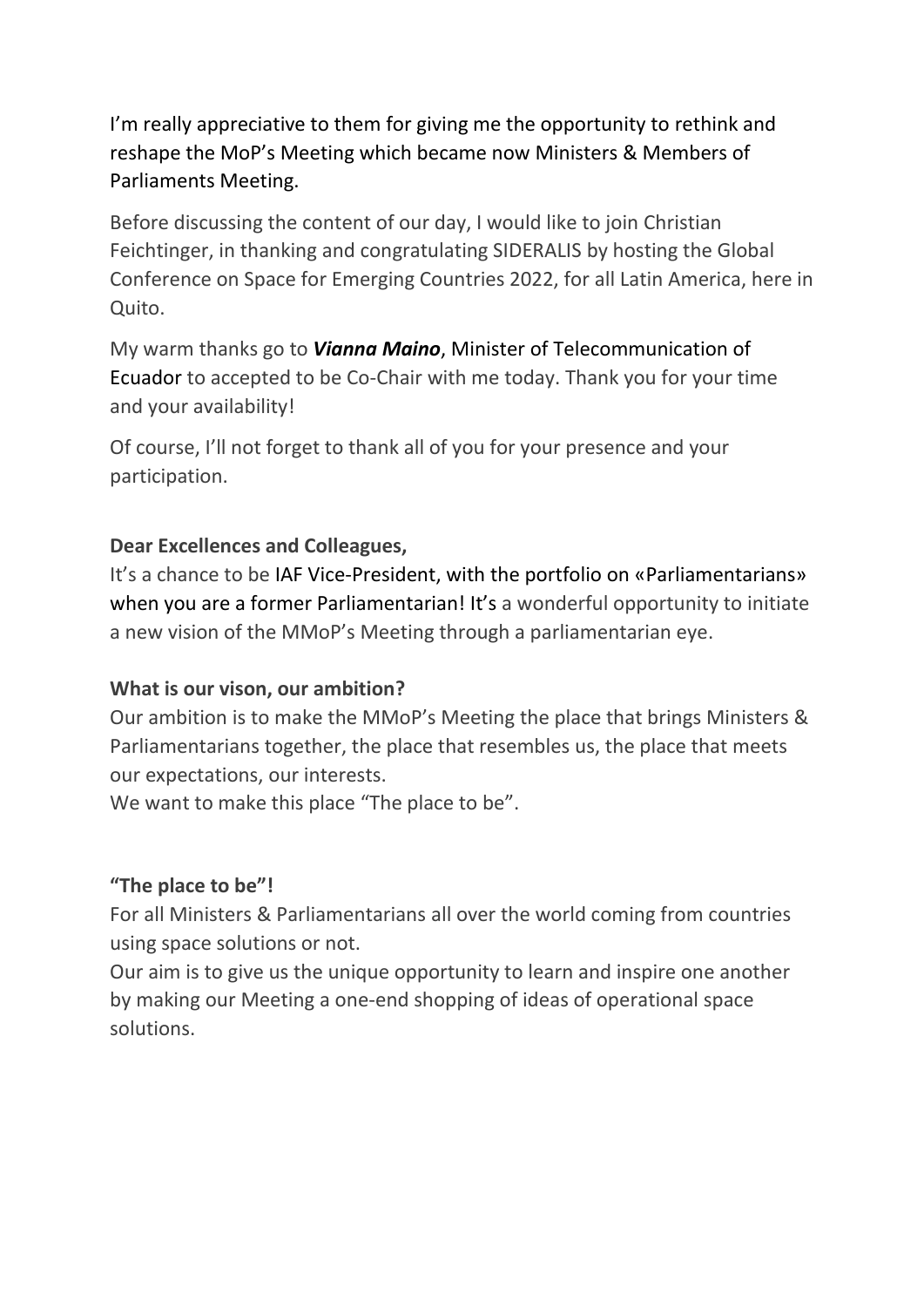I'm really appreciative to them for giving me the opportunity to rethink and reshape the MoP's Meeting which became now Ministers & Members of Parliaments Meeting.

Before discussing the content of our day, I would like to join Christian Feichtinger, in thanking and congratulating SIDERALIS by hosting the Global Conference on Space for Emerging Countries 2022, for all Latin America, here in Quito.

My warm thanks go to *Vianna Maino*, Minister of Telecommunication of Ecuador to accepted to be Co-Chair with me today. Thank you for your time and your availability!

Of course, I'll not forget to thank all of you for your presence and your participation.

### **Dear Excellences and Colleagues,**

It's a chance to be IAF Vice-President, with the portfolio on «Parliamentarians» when you are a former Parliamentarian! It's a wonderful opportunity to initiate a new vision of the MMoP's Meeting through a parliamentarian eye.

## **What is our vison, our ambition?**

Our ambition is to make the MMoP's Meeting the place that brings Ministers & Parliamentarians together, the place that resembles us, the place that meets our expectations, our interests.

We want to make this place "The place to be".

## **"The place to be"!**

For all Ministers & Parliamentarians all over the world coming from countries using space solutions or not.

Our aim is to give us the unique opportunity to learn and inspire one another by making our Meeting a one-end shopping of ideas of operational space solutions.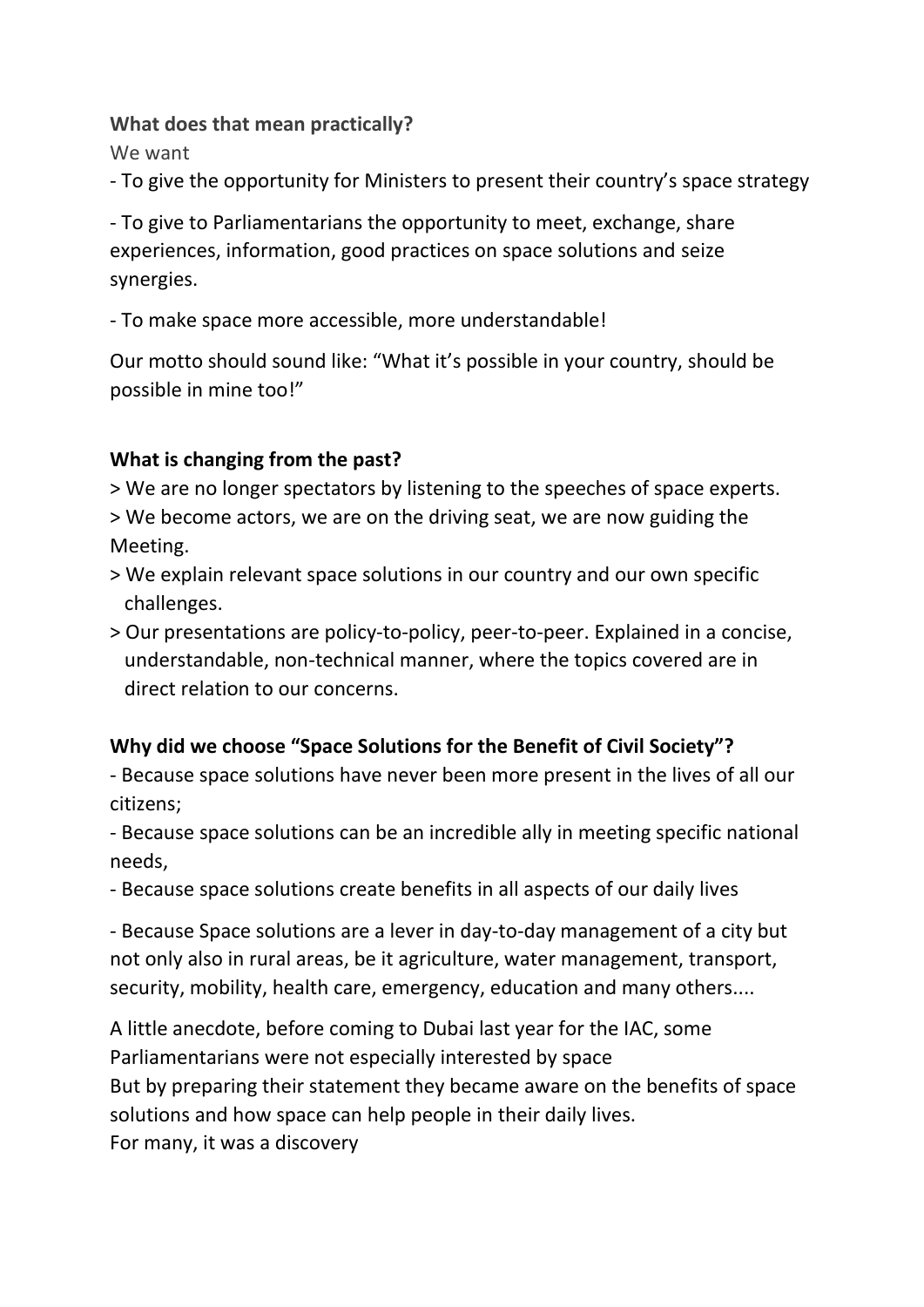#### **What does that mean practically?**

We want

- To give the opportunity for Ministers to present their country's space strategy

- To give to Parliamentarians the opportunity to meet, exchange, share experiences, information, good practices on space solutions and seize synergies.

- To make space more accessible, more understandable!

Our motto should sound like: "What it's possible in your country, should be possible in mine too!"

# **What is changing from the past?**

> We are no longer spectators by listening to the speeches of space experts. > We become actors, we are on the driving seat, we are now guiding the

Meeting.

- > We explain relevant space solutions in our country and our own specific challenges.
- > Our presentations are policy-to-policy, peer-to-peer. Explained in a concise, understandable, non-technical manner, where the topics covered are in direct relation to our concerns.

# **Why did we choose "Space Solutions for the Benefit of Civil Society"?**

- Because space solutions have never been more present in the lives of all our citizens;

- Because space solutions can be an incredible ally in meeting specific national needs,

- Because space solutions create benefits in all aspects of our daily lives

- Because Space solutions are a lever in day-to-day management of a city but not only also in rural areas, be it agriculture, water management, transport, security, mobility, health care, emergency, education and many others....

A little anecdote, before coming to Dubai last year for the IAC, some Parliamentarians were not especially interested by space But by preparing their statement they became aware on the benefits of space solutions and how space can help people in their daily lives. For many, it was a discovery